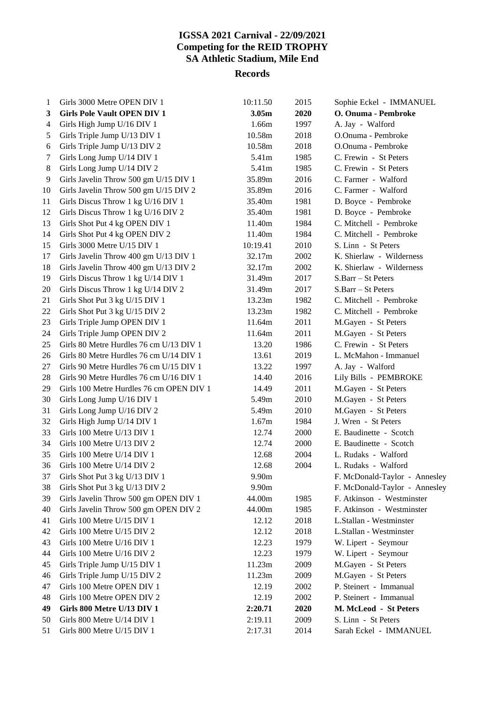# **IGSSA 2021 Carnival - 22/09/2021 Competing for the REID TROPHY SA Athletic Stadium, Mile End**

### **Records**

| 1  | Girls 3000 Metre OPEN DIV 1              | 10:11.50          | 2015 | Sophie Eckel - IMMANUEL       |
|----|------------------------------------------|-------------------|------|-------------------------------|
| 3  | <b>Girls Pole Vault OPEN DIV 1</b>       | 3.05 <sub>m</sub> | 2020 | O. Onuma - Pembroke           |
| 4  | Girls High Jump U/16 DIV 1               | 1.66m             | 1997 | A. Jay - Walford              |
| 5  | Girls Triple Jump U/13 DIV 1             | 10.58m            | 2018 | O.Onuma - Pembroke            |
| 6  | Girls Triple Jump U/13 DIV 2             | 10.58m            | 2018 | O.Onuma - Pembroke            |
| 7  | Girls Long Jump U/14 DIV 1               | 5.41m             | 1985 | C. Frewin - St Peters         |
| 8  | Girls Long Jump U/14 DIV 2               | 5.41m             | 1985 | C. Frewin - St Peters         |
| 9  | Girls Javelin Throw 500 gm U/15 DIV 1    | 35.89m            | 2016 | C. Farmer - Walford           |
| 10 | Girls Javelin Throw 500 gm U/15 DIV 2    | 35.89m            | 2016 | C. Farmer - Walford           |
| 11 | Girls Discus Throw 1 kg U/16 DIV 1       | 35.40m            | 1981 | D. Boyce - Pembroke           |
| 12 | Girls Discus Throw 1 kg U/16 DIV 2       | 35.40m            | 1981 | D. Boyce - Pembroke           |
| 13 | Girls Shot Put 4 kg OPEN DIV 1           | 11.40m            | 1984 | C. Mitchell - Pembroke        |
| 14 | Girls Shot Put 4 kg OPEN DIV 2           | 11.40m            | 1984 | C. Mitchell - Pembroke        |
| 15 | Girls 3000 Metre U/15 DIV 1              | 10:19.41          | 2010 | S. Linn - St Peters           |
| 17 | Girls Javelin Throw 400 gm U/13 DIV 1    | 32.17m            | 2002 | K. Shierlaw - Wilderness      |
| 18 | Girls Javelin Throw 400 gm U/13 DIV 2    | 32.17m            | 2002 | K. Shierlaw - Wilderness      |
| 19 | Girls Discus Throw 1 kg U/14 DIV 1       | 31.49m            | 2017 | S.Barr – St Peters            |
| 20 | Girls Discus Throw 1 kg U/14 DIV 2       | 31.49m            | 2017 | S.Barr – St Peters            |
| 21 | Girls Shot Put 3 kg U/15 DIV 1           | 13.23m            | 1982 | C. Mitchell - Pembroke        |
| 22 | Girls Shot Put 3 kg U/15 DIV 2           | 13.23m            | 1982 | C. Mitchell - Pembroke        |
| 23 | Girls Triple Jump OPEN DIV 1             | 11.64m            | 2011 | M.Gayen - St Peters           |
| 24 | Girls Triple Jump OPEN DIV 2             | 11.64m            | 2011 | M.Gayen - St Peters           |
| 25 | Girls 80 Metre Hurdles 76 cm U/13 DIV 1  | 13.20             | 1986 | C. Frewin - St Peters         |
| 26 | Girls 80 Metre Hurdles 76 cm U/14 DIV 1  | 13.61             | 2019 | L. McMahon - Immanuel         |
| 27 | Girls 90 Metre Hurdles 76 cm U/15 DIV 1  | 13.22             | 1997 | A. Jay - Walford              |
| 28 | Girls 90 Metre Hurdles 76 cm U/16 DIV 1  | 14.40             | 2016 | Lily Bills - PEMBROKE         |
| 29 | Girls 100 Metre Hurdles 76 cm OPEN DIV 1 | 14.49             | 2011 | M.Gayen - St Peters           |
| 30 | Girls Long Jump U/16 DIV 1               | 5.49m             | 2010 | M.Gayen - St Peters           |
| 31 | Girls Long Jump U/16 DIV 2               | 5.49m             | 2010 | M.Gayen - St Peters           |
| 32 | Girls High Jump U/14 DIV 1               | 1.67m             | 1984 | J. Wren - St Peters           |
| 33 | Girls 100 Metre U/13 DIV 1               | 12.74             | 2000 | E. Baudinette - Scotch        |
| 34 | Girls 100 Metre U/13 DIV 2               | 12.74             | 2000 | E. Baudinette - Scotch        |
| 35 | Girls 100 Metre U/14 DIV 1               | 12.68             | 2004 | L. Rudaks - Walford           |
| 36 | Girls 100 Metre U/14 DIV 2               | 12.68             | 2004 | L. Rudaks - Walford           |
| 37 | Girls Shot Put 3 kg U/13 DIV 1           | 9.90m             |      | F. McDonald-Taylor - Annesley |
| 38 | Girls Shot Put 3 kg U/13 DIV 2           | 9.90m             |      | F. McDonald-Taylor - Annesley |
| 39 | Girls Javelin Throw 500 gm OPEN DIV 1    | 44.00m            | 1985 | F. Atkinson - Westminster     |
| 40 | Girls Javelin Throw 500 gm OPEN DIV 2    | 44.00m            | 1985 | F. Atkinson - Westminster     |
| 41 | Girls 100 Metre U/15 DIV 1               | 12.12             | 2018 | L.Stallan - Westminster       |
| 42 | Girls 100 Metre U/15 DIV 2               | 12.12             | 2018 | L.Stallan - Westminster       |
| 43 | Girls 100 Metre U/16 DIV 1               | 12.23             | 1979 | W. Lipert - Seymour           |
| 44 | Girls 100 Metre U/16 DIV 2               | 12.23             | 1979 | W. Lipert - Seymour           |
| 45 | Girls Triple Jump U/15 DIV 1             | 11.23m            | 2009 | M.Gayen - St Peters           |
| 46 | Girls Triple Jump U/15 DIV 2             | 11.23m            | 2009 | M.Gayen - St Peters           |
| 47 | Girls 100 Metre OPEN DIV 1               | 12.19             | 2002 | P. Steinert - Immanual        |
| 48 | Girls 100 Metre OPEN DIV 2               | 12.19             | 2002 | P. Steinert - Immanual        |
| 49 | Girls 800 Metre U/13 DIV 1               | 2:20.71           | 2020 | M. McLeod - St Peters         |
| 50 | Girls 800 Metre U/14 DIV 1               | 2:19.11           | 2009 | S. Linn - St Peters           |
| 51 | Girls 800 Metre U/15 DIV 1               | 2:17.31           | 2014 | Sarah Eckel - IMMANUEL        |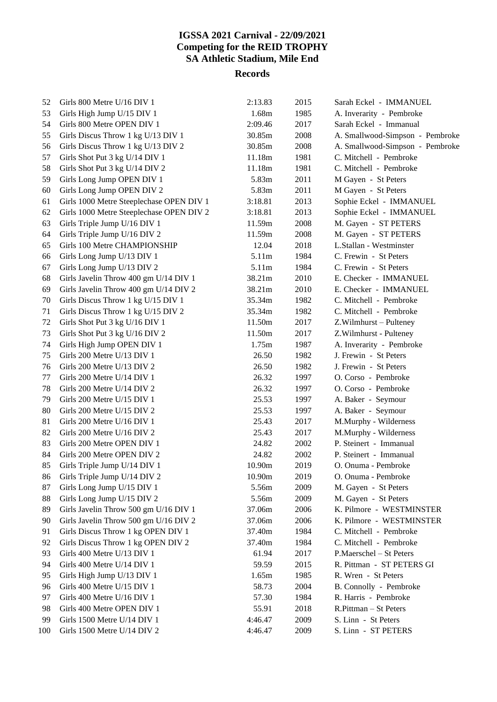## **IGSSA 2021 Carnival - 22/09/2021 Competing for the REID TROPHY SA Athletic Stadium, Mile End**

#### **Records**

| 52  | Girls 800 Metre U/16 DIV 1               | 2:13.83 | 2015 | Sarah Eckel - IMMANUEL          |
|-----|------------------------------------------|---------|------|---------------------------------|
| 53  | Girls High Jump U/15 DIV 1               | 1.68m   | 1985 | A. Inverarity - Pembroke        |
| 54  | Girls 800 Metre OPEN DIV 1               | 2:09.46 | 2017 | Sarah Eckel - Immanual          |
| 55  | Girls Discus Throw 1 kg U/13 DIV 1       | 30.85m  | 2008 | A. Smallwood-Simpson - Pembroke |
| 56  | Girls Discus Throw 1 kg U/13 DIV 2       | 30.85m  | 2008 | A. Smallwood-Simpson - Pembroke |
| 57  | Girls Shot Put 3 kg U/14 DIV 1           | 11.18m  | 1981 | C. Mitchell - Pembroke          |
| 58  | Girls Shot Put 3 kg U/14 DIV 2           | 11.18m  | 1981 | C. Mitchell - Pembroke          |
| 59  | Girls Long Jump OPEN DIV 1               | 5.83m   | 2011 | M Gayen - St Peters             |
| 60  | Girls Long Jump OPEN DIV 2               | 5.83m   | 2011 | M Gayen - St Peters             |
| 61  | Girls 1000 Metre Steeplechase OPEN DIV 1 | 3:18.81 | 2013 | Sophie Eckel - IMMANUEL         |
| 62  | Girls 1000 Metre Steeplechase OPEN DIV 2 | 3:18.81 | 2013 | Sophie Eckel - IMMANUEL         |
| 63  | Girls Triple Jump U/16 DIV 1             | 11.59m  | 2008 | M. Gayen - ST PETERS            |
| 64  | Girls Triple Jump U/16 DIV 2             | 11.59m  | 2008 | M. Gayen - ST PETERS            |
| 65  | Girls 100 Metre CHAMPIONSHIP             | 12.04   | 2018 | L.Stallan - Westminster         |
| 66  | Girls Long Jump U/13 DIV 1               | 5.11m   | 1984 | C. Frewin - St Peters           |
| 67  | Girls Long Jump U/13 DIV 2               | 5.11m   | 1984 | C. Frewin - St Peters           |
| 68  | Girls Javelin Throw 400 gm U/14 DIV 1    | 38.21m  | 2010 | E. Checker - IMMANUEL           |
| 69  | Girls Javelin Throw 400 gm U/14 DIV 2    | 38.21m  | 2010 | E. Checker - IMMANUEL           |
| 70  | Girls Discus Throw 1 kg U/15 DIV 1       | 35.34m  | 1982 | C. Mitchell - Pembroke          |
| 71  | Girls Discus Throw 1 kg U/15 DIV 2       | 35.34m  | 1982 | C. Mitchell - Pembroke          |
| 72  | Girls Shot Put 3 kg U/16 DIV 1           | 11.50m  | 2017 | Z.Wilmhurst - Pulteney          |
| 73  | Girls Shot Put 3 kg U/16 DIV 2           | 11.50m  | 2017 | Z.Wilmhurst - Pulteney          |
| 74  | Girls High Jump OPEN DIV 1               | 1.75m   | 1987 | A. Inverarity - Pembroke        |
| 75  | Girls 200 Metre U/13 DIV 1               | 26.50   | 1982 | J. Frewin - St Peters           |
| 76  | Girls 200 Metre U/13 DIV 2               | 26.50   | 1982 | J. Frewin - St Peters           |
| 77  | Girls 200 Metre U/14 DIV 1               | 26.32   | 1997 | O. Corso - Pembroke             |
| 78  | Girls 200 Metre U/14 DIV 2               | 26.32   | 1997 | O. Corso - Pembroke             |
| 79  | Girls 200 Metre U/15 DIV 1               | 25.53   | 1997 | A. Baker - Seymour              |
| 80  | Girls 200 Metre U/15 DIV 2               | 25.53   | 1997 | A. Baker - Seymour              |
| 81  | Girls 200 Metre U/16 DIV 1               | 25.43   | 2017 | M.Murphy - Wilderness           |
| 82  | Girls 200 Metre U/16 DIV 2               | 25.43   | 2017 | M.Murphy - Wilderness           |
| 83  | Girls 200 Metre OPEN DIV 1               | 24.82   | 2002 | P. Steinert - Immanual          |
| 84  | Girls 200 Metre OPEN DIV 2               | 24.82   | 2002 | P. Steinert - Immanual          |
| 85  | Girls Triple Jump U/14 DIV 1             | 10.90m  | 2019 | O. Onuma - Pembroke             |
| 86  | Girls Triple Jump U/14 DIV 2             | 10.90m  | 2019 | O. Onuma - Pembroke             |
| 87  | Girls Long Jump U/15 DIV 1               | 5.56m   | 2009 | M. Gayen - St Peters            |
| 88  | Girls Long Jump U/15 DIV 2               | 5.56m   | 2009 | M. Gayen - St Peters            |
| 89  | Girls Javelin Throw 500 gm U/16 DIV 1    | 37.06m  | 2006 | K. Pilmore - WESTMINSTER        |
| 90  | Girls Javelin Throw 500 gm U/16 DIV 2    | 37.06m  | 2006 | K. Pilmore - WESTMINSTER        |
| 91  | Girls Discus Throw 1 kg OPEN DIV 1       | 37.40m  | 1984 | C. Mitchell - Pembroke          |
| 92  | Girls Discus Throw 1 kg OPEN DIV 2       | 37.40m  | 1984 | C. Mitchell - Pembroke          |
| 93  | Girls 400 Metre U/13 DIV 1               | 61.94   | 2017 | P.Maerschel - St Peters         |
| 94  | Girls 400 Metre U/14 DIV 1               | 59.59   | 2015 | R. Pittman - ST PETERS GI       |
| 95  | Girls High Jump U/13 DIV 1               | 1.65m   | 1985 | R. Wren - St Peters             |
| 96  | Girls 400 Metre U/15 DIV 1               | 58.73   | 2004 | B. Connolly - Pembroke          |
| 97  | Girls 400 Metre U/16 DIV 1               | 57.30   | 1984 | R. Harris - Pembroke            |
| 98  | Girls 400 Metre OPEN DIV 1               | 55.91   | 2018 | R.Pittman - St Peters           |
| 99  | Girls 1500 Metre U/14 DIV 1              | 4:46.47 | 2009 | S. Linn - St Peters             |
| 100 | Girls 1500 Metre U/14 DIV 2              | 4:46.47 | 2009 | S. Linn - ST PETERS             |
|     |                                          |         |      |                                 |